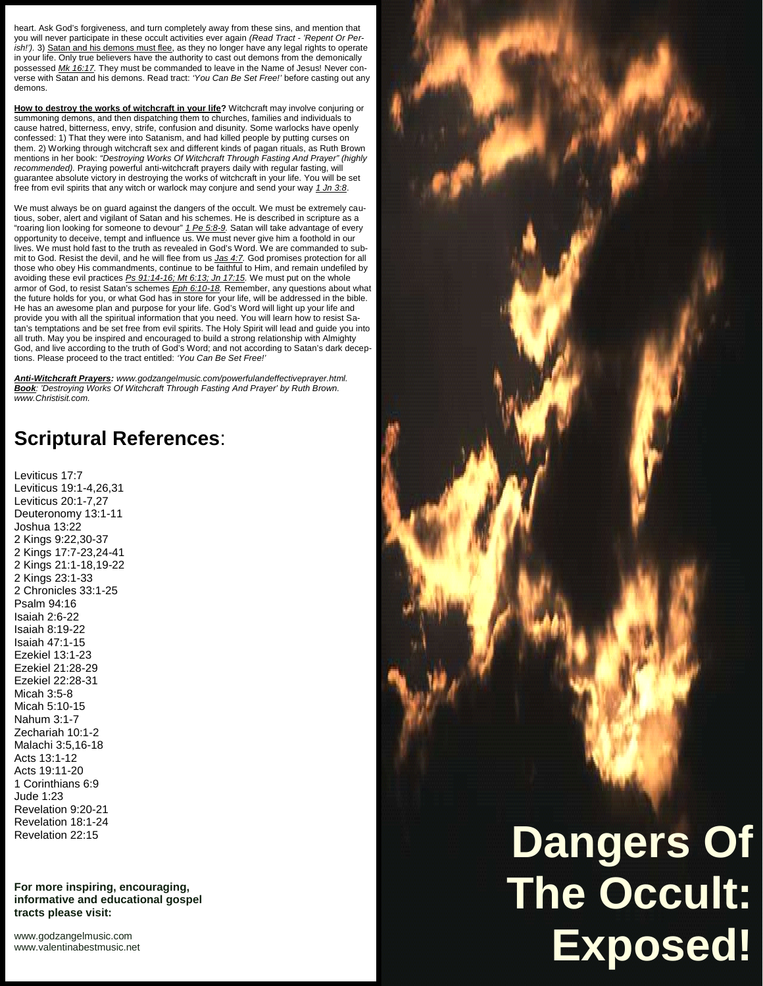heart. Ask God's forgiveness, and turn completely away from these sins, and mention that you will never participate in these occult activities ever again *(Read Tract - 'Repent Or Per*ish!'). 3) Satan and his demons must flee, as they no longer have any legal rights to operate in your life. Only true believers have the authority to cast out demons from the demonically possessed *Mk 16:17.* They must be commanded to leave in the Name of Jesus! Never con verse with Satan and his demons. Read tract: *'You Can Be Set Free!'* before casting out any demons.

**How to destroy the works of witchcraft in your life?** Witchcraft may involve conjuring or summoning demons, and then dispatching them to churches, families and individuals to cause hatred, bitterness, envy, strife, confusion and disunity. Some warlocks have openly confessed: 1) That they were into Satanism, and had killed people by putting curses on them. 2) Working through witchcraft sex and different kinds of pagan rituals, as Ruth Brown mentions in her book: *"Destroying Works Of Witchcraft Through Fasting And Prayer" (highly recommended).* Praying powerful anti-witchcraft prayers daily with regular fasting, will guarantee absolute victory in destroying the works of witchcraft in your life. You will be set free from evil spirits that any witch or warlock may conjure and send your way *1 Jn 3:8*.

We must always be on guard against the dangers of the occult. We must be extremely cautious, sober, alert and vigilant of Satan and his schemes. He is described in scripture as a "roaring lion looking for someone to devour" *1 Pe 5:8-9.* Satan will take advantage of every opportunity to deceive, tempt and influence us. We must never give him a foothold in our lives. We must hold fast to the truth as revealed in God's Word. We are commanded to submit to God. Resist the devil, and he will flee from us *Jas 4:7.* God promises protection for all those who obey His commandments, continue to be faithful to Him, and remain undefiled by avoiding these evil practices *Ps 91:14-16; Mt 6:13; Jn 17:15.* We must put on the whole armor of God, to resist Satan's schemes *Eph 6:10-18.* Remember, any questions about what the future holds for you, or what God has in store for your life, will be addressed in the bible. He has an awesome plan and purpose for your life. God's Word will light up your life and provide you with all the spiritual information that you need. You will learn how to resist Satan's temptations and be set free from evil spirits. The Holy Spirit will lead and guide you into all truth. May you be inspired and encouraged to build a strong relationship with Almighty God, and live according to the truth of God's Word; and not according to Satan's dark deceptions. Please proceed to the tract entitled: *'You Can Be Set Free!'*

*Anti-Witchcraft Prayers: <www.godzangelmusic.com/powerfulandeffectiveprayer.html>. Book: 'Destroying Works Of Witchcraft Through Fasting And Prayer' by Ruth Brown. <www.Christisit.com>.*

## **Scriptural References**:

Leviticus 17:7 Leviticus 19:1-4,26,31 Leviticus 20:1-7,27 Deuteronomy 13:1-11 Joshua 13:22 2 Kings 9:22,30-37 2 Kings 17:7-23,24-41 2 Kings 21:1-18,19-22 2 Kings 23:1-33 2 Chronicles 33:1-25 Psalm 94:16 Isaiah 2:6-22 Isaiah 8:19-22 Isaiah 47:1-15 Ezekiel 13:1-23 Ezekiel 21:28-29 Ezekiel 22:28-31 Micah 3:5-8 Micah 5:10-15 Nahum 3:1-7 Zechariah 10:1-2 Malachi 3:5,16-18 Acts 13:1-12 Acts 19:11-20 1 Corinthians 6:9 Jude 1:23 Revelation 9:20-21 Revelation 18:1-24 Revelation 22:15

**For more inspiring, encouraging, informative and educational gospel tracts please visit:**

<www.godzangelmusic.com> <www.valentinabestmusic.net>